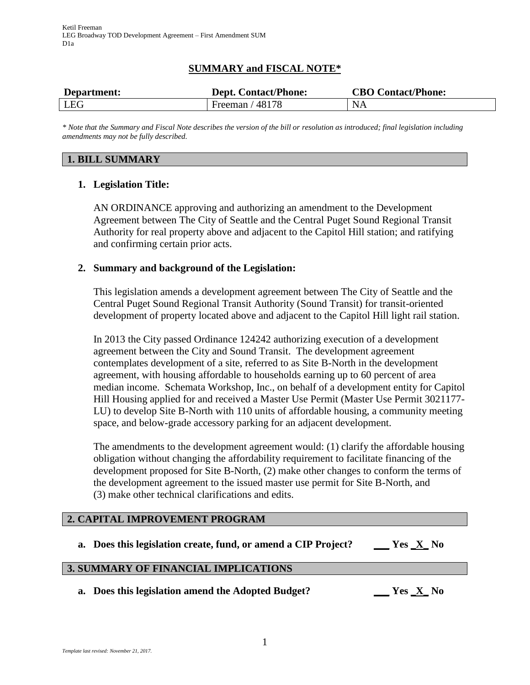# **SUMMARY and FISCAL NOTE\***

| Department: | <b>Dept. Contact/Phone:</b> | <b>CBO Contact/Phone:</b> |
|-------------|-----------------------------|---------------------------|
| LEG         | Freeman $/48178$            | NA                        |

*\* Note that the Summary and Fiscal Note describes the version of the bill or resolution as introduced; final legislation including amendments may not be fully described.*

#### **1. BILL SUMMARY**

### **1. Legislation Title:**

AN ORDINANCE approving and authorizing an amendment to the Development Agreement between The City of Seattle and the Central Puget Sound Regional Transit Authority for real property above and adjacent to the Capitol Hill station; and ratifying and confirming certain prior acts.

#### **2. Summary and background of the Legislation:**

This legislation amends a development agreement between The City of Seattle and the Central Puget Sound Regional Transit Authority (Sound Transit) for transit-oriented development of property located above and adjacent to the Capitol Hill light rail station.

In 2013 the City passed Ordinance 124242 authorizing execution of a development agreement between the City and Sound Transit. The development agreement contemplates development of a site, referred to as Site B-North in the development agreement, with housing affordable to households earning up to 60 percent of area median income. Schemata Workshop, Inc., on behalf of a development entity for Capitol Hill Housing applied for and received a Master Use Permit (Master Use Permit 3021177- LU) to develop Site B-North with 110 units of affordable housing, a community meeting space, and below-grade accessory parking for an adjacent development.

The amendments to the development agreement would: (1) clarify the affordable housing obligation without changing the affordability requirement to facilitate financing of the development proposed for Site B-North, (2) make other changes to conform the terms of the development agreement to the issued master use permit for Site B-North, and (3) make other technical clarifications and edits.

## **2. CAPITAL IMPROVEMENT PROGRAM**

**a. Does this legislation create, fund, or amend a CIP Project? \_\_\_ Yes \_X\_ No**

#### **3. SUMMARY OF FINANCIAL IMPLICATIONS**

**a. Does this legislation amend the Adopted Budget? \_\_\_ Yes \_X\_ No**